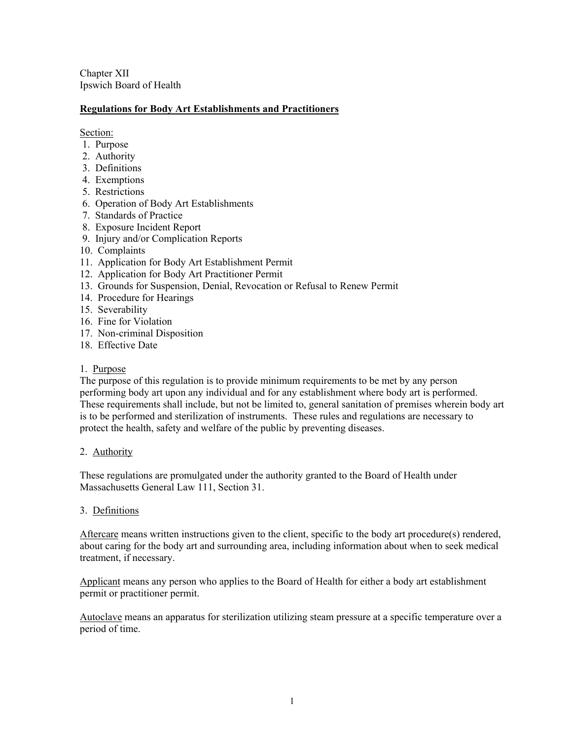Chapter XII Ipswich Board of Health

# **Regulations for Body Art Establishments and Practitioners**

Section:

- 1. Purpose
- 2. Authority
- 3. Definitions
- 4. Exemptions
- 5. Restrictions
- 6. Operation of Body Art Establishments
- 7. Standards of Practice
- 8. Exposure Incident Report
- 9. Injury and/or Complication Reports
- 10. Complaints
- 11. Application for Body Art Establishment Permit
- 12. Application for Body Art Practitioner Permit
- 13. Grounds for Suspension, Denial, Revocation or Refusal to Renew Permit
- 14. Procedure for Hearings
- 15. Severability
- 16. Fine for Violation
- 17. Non-criminal Disposition
- 18. Effective Date

# 1. Purpose

The purpose of this regulation is to provide minimum requirements to be met by any person performing body art upon any individual and for any establishment where body art is performed. These requirements shall include, but not be limited to, general sanitation of premises wherein body art is to be performed and sterilization of instruments. These rules and regulations are necessary to protect the health, safety and welfare of the public by preventing diseases.

# 2. Authority

These regulations are promulgated under the authority granted to the Board of Health under Massachusetts General Law 111, Section 31.

# 3. Definitions

Aftercare means written instructions given to the client, specific to the body art procedure(s) rendered, about caring for the body art and surrounding area, including information about when to seek medical treatment, if necessary.

Applicant means any person who applies to the Board of Health for either a body art establishment permit or practitioner permit.

Autoclave means an apparatus for sterilization utilizing steam pressure at a specific temperature over a period of time.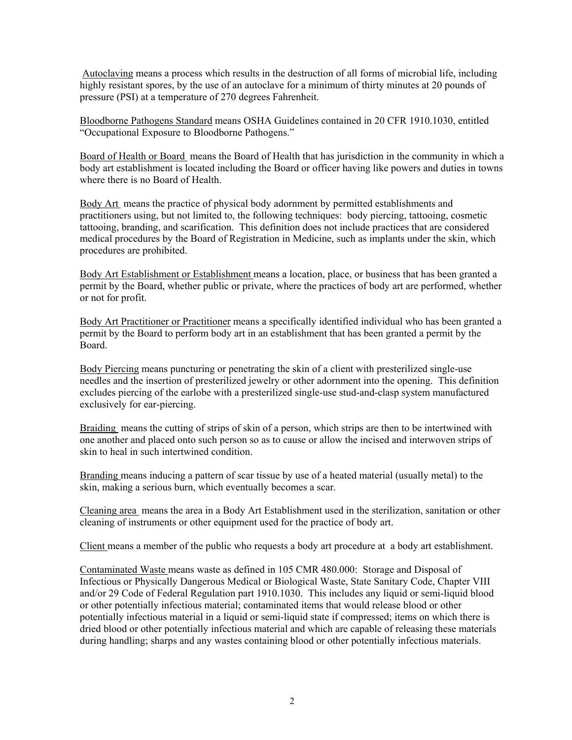Autoclaving means a process which results in the destruction of all forms of microbial life, including highly resistant spores, by the use of an autoclave for a minimum of thirty minutes at 20 pounds of pressure (PSI) at a temperature of 270 degrees Fahrenheit.

Bloodborne Pathogens Standard means OSHA Guidelines contained in 20 CFR 1910.1030, entitled "Occupational Exposure to Bloodborne Pathogens."

Board of Health or Board means the Board of Health that has jurisdiction in the community in which a body art establishment is located including the Board or officer having like powers and duties in towns where there is no Board of Health.

Body Art means the practice of physical body adornment by permitted establishments and practitioners using, but not limited to, the following techniques: body piercing, tattooing, cosmetic tattooing, branding, and scarification. This definition does not include practices that are considered medical procedures by the Board of Registration in Medicine, such as implants under the skin, which procedures are prohibited.

Body Art Establishment or Establishment means a location, place, or business that has been granted a permit by the Board, whether public or private, where the practices of body art are performed, whether or not for profit.

Body Art Practitioner or Practitioner means a specifically identified individual who has been granted a permit by the Board to perform body art in an establishment that has been granted a permit by the Board.

Body Piercing means puncturing or penetrating the skin of a client with presterilized single-use needles and the insertion of presterilized jewelry or other adornment into the opening. This definition excludes piercing of the earlobe with a presterilized single-use stud-and-clasp system manufactured exclusively for ear-piercing.

Braiding means the cutting of strips of skin of a person, which strips are then to be intertwined with one another and placed onto such person so as to cause or allow the incised and interwoven strips of skin to heal in such intertwined condition.

Branding means inducing a pattern of scar tissue by use of a heated material (usually metal) to the skin, making a serious burn, which eventually becomes a scar.

Cleaning area means the area in a Body Art Establishment used in the sterilization, sanitation or other cleaning of instruments or other equipment used for the practice of body art.

Client means a member of the public who requests a body art procedure at a body art establishment.

Contaminated Waste means waste as defined in 105 CMR 480.000: Storage and Disposal of Infectious or Physically Dangerous Medical or Biological Waste, State Sanitary Code, Chapter VIII and/or 29 Code of Federal Regulation part 1910.1030. This includes any liquid or semi-liquid blood or other potentially infectious material; contaminated items that would release blood or other potentially infectious material in a liquid or semi-liquid state if compressed; items on which there is dried blood or other potentially infectious material and which are capable of releasing these materials during handling; sharps and any wastes containing blood or other potentially infectious materials.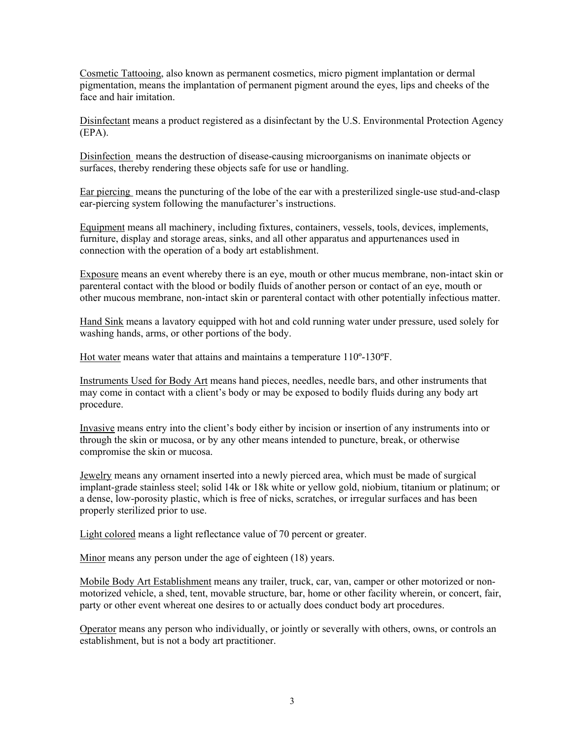Cosmetic Tattooing, also known as permanent cosmetics, micro pigment implantation or dermal pigmentation, means the implantation of permanent pigment around the eyes, lips and cheeks of the face and hair imitation.

Disinfectant means a product registered as a disinfectant by the U.S. Environmental Protection Agency (EPA).

Disinfection means the destruction of disease-causing microorganisms on inanimate objects or surfaces, thereby rendering these objects safe for use or handling.

Ear piercing means the puncturing of the lobe of the ear with a presterilized single-use stud-and-clasp ear-piercing system following the manufacturer's instructions.

Equipment means all machinery, including fixtures, containers, vessels, tools, devices, implements, furniture, display and storage areas, sinks, and all other apparatus and appurtenances used in connection with the operation of a body art establishment.

Exposure means an event whereby there is an eye, mouth or other mucus membrane, non-intact skin or parenteral contact with the blood or bodily fluids of another person or contact of an eye, mouth or other mucous membrane, non-intact skin or parenteral contact with other potentially infectious matter.

Hand Sink means a lavatory equipped with hot and cold running water under pressure, used solely for washing hands, arms, or other portions of the body.

Hot water means water that attains and maintains a temperature 110º-130ºF.

Instruments Used for Body Art means hand pieces, needles, needle bars, and other instruments that may come in contact with a client's body or may be exposed to bodily fluids during any body art procedure.

Invasive means entry into the client's body either by incision or insertion of any instruments into or through the skin or mucosa, or by any other means intended to puncture, break, or otherwise compromise the skin or mucosa.

Jewelry means any ornament inserted into a newly pierced area, which must be made of surgical implant-grade stainless steel; solid 14k or 18k white or yellow gold, niobium, titanium or platinum; or a dense, low-porosity plastic, which is free of nicks, scratches, or irregular surfaces and has been properly sterilized prior to use.

Light colored means a light reflectance value of 70 percent or greater.

Minor means any person under the age of eighteen (18) years.

Mobile Body Art Establishment means any trailer, truck, car, van, camper or other motorized or nonmotorized vehicle, a shed, tent, movable structure, bar, home or other facility wherein, or concert, fair, party or other event whereat one desires to or actually does conduct body art procedures.

Operator means any person who individually, or jointly or severally with others, owns, or controls an establishment, but is not a body art practitioner.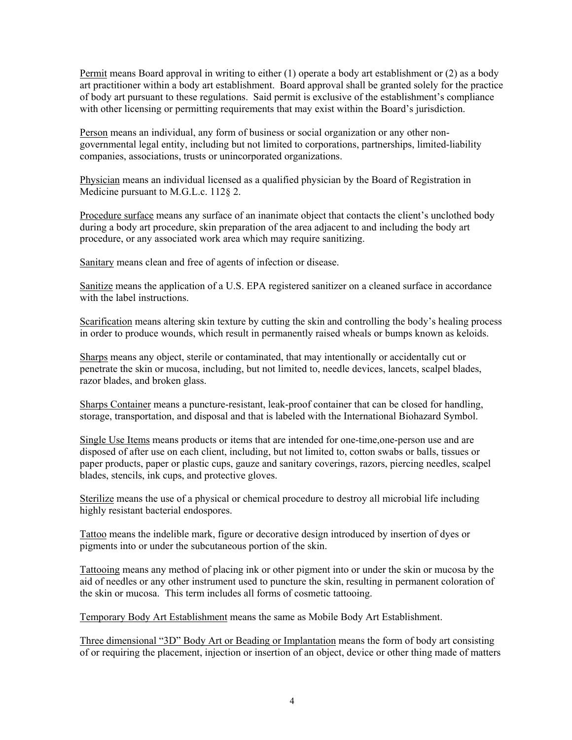Permit means Board approval in writing to either (1) operate a body art establishment or (2) as a body art practitioner within a body art establishment. Board approval shall be granted solely for the practice of body art pursuant to these regulations. Said permit is exclusive of the establishment's compliance with other licensing or permitting requirements that may exist within the Board's jurisdiction.

Person means an individual, any form of business or social organization or any other nongovernmental legal entity, including but not limited to corporations, partnerships, limited-liability companies, associations, trusts or unincorporated organizations.

Physician means an individual licensed as a qualified physician by the Board of Registration in Medicine pursuant to M.G.L.c. 112§ 2.

Procedure surface means any surface of an inanimate object that contacts the client's unclothed body during a body art procedure, skin preparation of the area adjacent to and including the body art procedure, or any associated work area which may require sanitizing.

Sanitary means clean and free of agents of infection or disease.

Sanitize means the application of a U.S. EPA registered sanitizer on a cleaned surface in accordance with the label instructions.

Scarification means altering skin texture by cutting the skin and controlling the body's healing process in order to produce wounds, which result in permanently raised wheals or bumps known as keloids.

Sharps means any object, sterile or contaminated, that may intentionally or accidentally cut or penetrate the skin or mucosa, including, but not limited to, needle devices, lancets, scalpel blades, razor blades, and broken glass.

Sharps Container means a puncture-resistant, leak-proof container that can be closed for handling, storage, transportation, and disposal and that is labeled with the International Biohazard Symbol.

Single Use Items means products or items that are intended for one-time,one-person use and are disposed of after use on each client, including, but not limited to, cotton swabs or balls, tissues or paper products, paper or plastic cups, gauze and sanitary coverings, razors, piercing needles, scalpel blades, stencils, ink cups, and protective gloves.

Sterilize means the use of a physical or chemical procedure to destroy all microbial life including highly resistant bacterial endospores.

Tattoo means the indelible mark, figure or decorative design introduced by insertion of dyes or pigments into or under the subcutaneous portion of the skin.

Tattooing means any method of placing ink or other pigment into or under the skin or mucosa by the aid of needles or any other instrument used to puncture the skin, resulting in permanent coloration of the skin or mucosa. This term includes all forms of cosmetic tattooing.

Temporary Body Art Establishment means the same as Mobile Body Art Establishment.

Three dimensional "3D" Body Art or Beading or Implantation means the form of body art consisting of or requiring the placement, injection or insertion of an object, device or other thing made of matters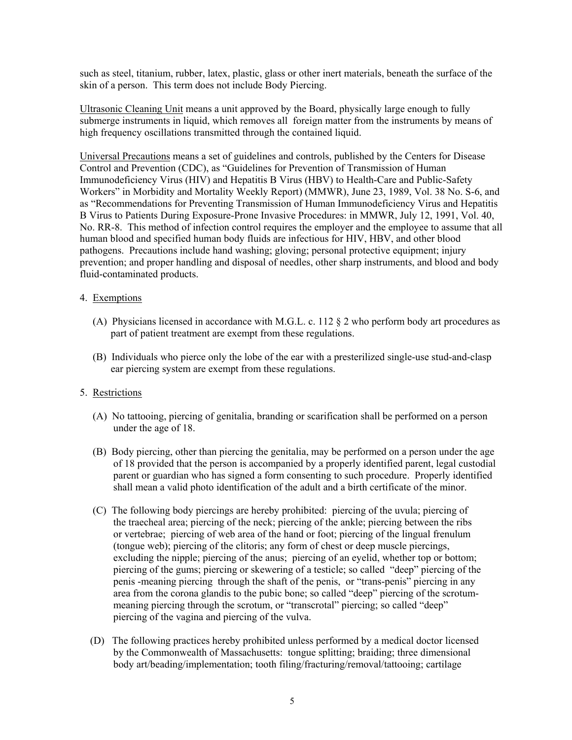such as steel, titanium, rubber, latex, plastic, glass or other inert materials, beneath the surface of the skin of a person. This term does not include Body Piercing.

Ultrasonic Cleaning Unit means a unit approved by the Board, physically large enough to fully submerge instruments in liquid, which removes all foreign matter from the instruments by means of high frequency oscillations transmitted through the contained liquid.

Universal Precautions means a set of guidelines and controls, published by the Centers for Disease Control and Prevention (CDC), as "Guidelines for Prevention of Transmission of Human Immunodeficiency Virus (HIV) and Hepatitis B Virus (HBV) to Health-Care and Public-Safety Workers" in Morbidity and Mortality Weekly Report) (MMWR), June 23, 1989, Vol. 38 No. S-6, and as "Recommendations for Preventing Transmission of Human Immunodeficiency Virus and Hepatitis B Virus to Patients During Exposure-Prone Invasive Procedures: in MMWR, July 12, 1991, Vol. 40, No. RR-8. This method of infection control requires the employer and the employee to assume that all human blood and specified human body fluids are infectious for HIV, HBV, and other blood pathogens. Precautions include hand washing; gloving; personal protective equipment; injury prevention; and proper handling and disposal of needles, other sharp instruments, and blood and body fluid-contaminated products.

# 4. Exemptions

- (A) Physicians licensed in accordance with M.G.L. c. 112 § 2 who perform body art procedures as part of patient treatment are exempt from these regulations.
- (B) Individuals who pierce only the lobe of the ear with a presterilized single-use stud-and-clasp ear piercing system are exempt from these regulations.

# 5. Restrictions

- (A) No tattooing, piercing of genitalia, branding or scarification shall be performed on a person under the age of 18.
- (B) Body piercing, other than piercing the genitalia, may be performed on a person under the age of 18 provided that the person is accompanied by a properly identified parent, legal custodial parent or guardian who has signed a form consenting to such procedure. Properly identified shall mean a valid photo identification of the adult and a birth certificate of the minor.
- (C) The following body piercings are hereby prohibited: piercing of the uvula; piercing of the traecheal area; piercing of the neck; piercing of the ankle; piercing between the ribs or vertebrae; piercing of web area of the hand or foot; piercing of the lingual frenulum (tongue web); piercing of the clitoris; any form of chest or deep muscle piercings, excluding the nipple; piercing of the anus; piercing of an eyelid, whether top or bottom; piercing of the gums; piercing or skewering of a testicle; so called "deep" piercing of the penis -meaning piercing through the shaft of the penis, or "trans-penis" piercing in any area from the corona glandis to the pubic bone; so called "deep" piercing of the scrotum meaning piercing through the scrotum, or "transcrotal" piercing; so called "deep" piercing of the vagina and piercing of the vulva.
- (D) The following practices hereby prohibited unless performed by a medical doctor licensed by the Commonwealth of Massachusetts: tongue splitting; braiding; three dimensional body art/beading/implementation; tooth filing/fracturing/removal/tattooing; cartilage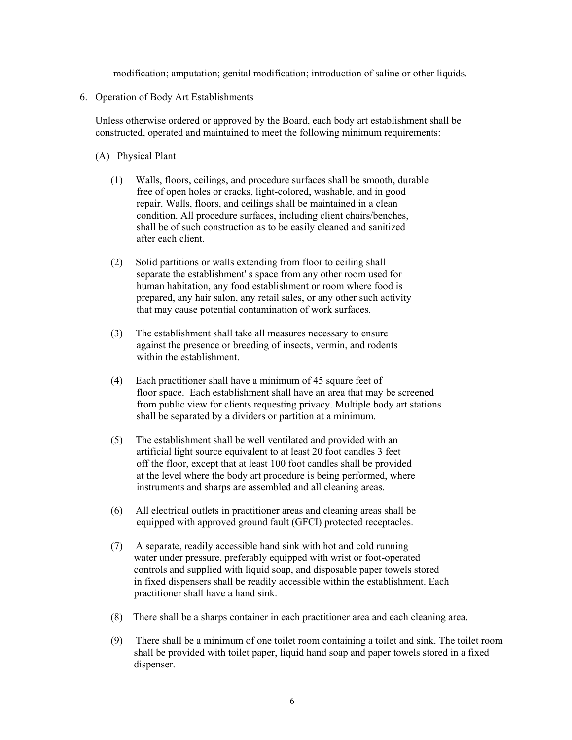modification; amputation; genital modification; introduction of saline or other liquids.

#### 6. Operation of Body Art Establishments

 Unless otherwise ordered or approved by the Board, each body art establishment shall be constructed, operated and maintained to meet the following minimum requirements:

#### (A) Physical Plant

- (1) Walls, floors, ceilings, and procedure surfaces shall be smooth, durable free of open holes or cracks, light-colored, washable, and in good repair. Walls, floors, and ceilings shall be maintained in a clean condition. All procedure surfaces, including client chairs/benches, shall be of such construction as to be easily cleaned and sanitized after each client.
- (2) Solid partitions or walls extending from floor to ceiling shall separate the establishment' s space from any other room used for human habitation, any food establishment or room where food is prepared, any hair salon, any retail sales, or any other such activity that may cause potential contamination of work surfaces.
- (3) The establishment shall take all measures necessary to ensure against the presence or breeding of insects, vermin, and rodents within the establishment.
- (4) Each practitioner shall have a minimum of 45 square feet of floor space. Each establishment shall have an area that may be screened from public view for clients requesting privacy. Multiple body art stations shall be separated by a dividers or partition at a minimum.
- (5) The establishment shall be well ventilated and provided with an artificial light source equivalent to at least 20 foot candles 3 feet off the floor, except that at least 100 foot candles shall be provided at the level where the body art procedure is being performed, where instruments and sharps are assembled and all cleaning areas.
- (6) All electrical outlets in practitioner areas and cleaning areas shall be equipped with approved ground fault (GFCI) protected receptacles.
- (7) A separate, readily accessible hand sink with hot and cold running water under pressure, preferably equipped with wrist or foot-operated controls and supplied with liquid soap, and disposable paper towels stored in fixed dispensers shall be readily accessible within the establishment. Each practitioner shall have a hand sink.
- (8) There shall be a sharps container in each practitioner area and each cleaning area.
- (9) There shall be a minimum of one toilet room containing a toilet and sink. The toilet room shall be provided with toilet paper, liquid hand soap and paper towels stored in a fixed dispenser.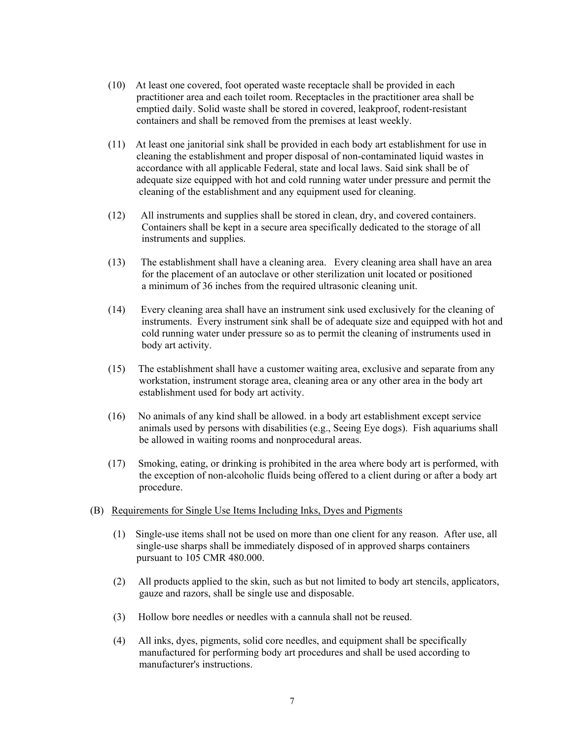- (10) At least one covered, foot operated waste receptacle shall be provided in each practitioner area and each toilet room. Receptacles in the practitioner area shall be emptied daily. Solid waste shall be stored in covered, leakproof, rodent-resistant containers and shall be removed from the premises at least weekly.
- (11) At least one janitorial sink shall be provided in each body art establishment for use in cleaning the establishment and proper disposal of non-contaminated liquid wastes in accordance with all applicable Federal, state and local laws. Said sink shall be of adequate size equipped with hot and cold running water under pressure and permit the cleaning of the establishment and any equipment used for cleaning.
- (12) All instruments and supplies shall be stored in clean, dry, and covered containers. Containers shall be kept in a secure area specifically dedicated to the storage of all instruments and supplies.
- (13) The establishment shall have a cleaning area. Every cleaning area shall have an area for the placement of an autoclave or other sterilization unit located or positioned a minimum of 36 inches from the required ultrasonic cleaning unit.
- (14) Every cleaning area shall have an instrument sink used exclusively for the cleaning of instruments. Every instrument sink shall be of adequate size and equipped with hot and cold running water under pressure so as to permit the cleaning of instruments used in body art activity.
- (15) The establishment shall have a customer waiting area, exclusive and separate from any workstation, instrument storage area, cleaning area or any other area in the body art establishment used for body art activity.
- (16) No animals of any kind shall be allowed. in a body art establishment except service animals used by persons with disabilities (e.g., Seeing Eye dogs). Fish aquariums shall be allowed in waiting rooms and nonprocedural areas.
- (17) Smoking, eating, or drinking is prohibited in the area where body art is performed, with the exception of non-alcoholic fluids being offered to a client during or after a body art procedure.
- (B) Requirements for Single Use Items Including Inks, Dyes and Pigments
	- (1) Single-use items shall not be used on more than one client for any reason. After use, all single-use sharps shall be immediately disposed of in approved sharps containers pursuant to 105 CMR 480.000.
	- (2) All products applied to the skin, such as but not limited to body art stencils, applicators, gauze and razors, shall be single use and disposable.
	- (3) Hollow bore needles or needles with a cannula shall not be reused.
	- (4) All inks, dyes, pigments, solid core needles, and equipment shall be specifically manufactured for performing body art procedures and shall be used according to manufacturer's instructions.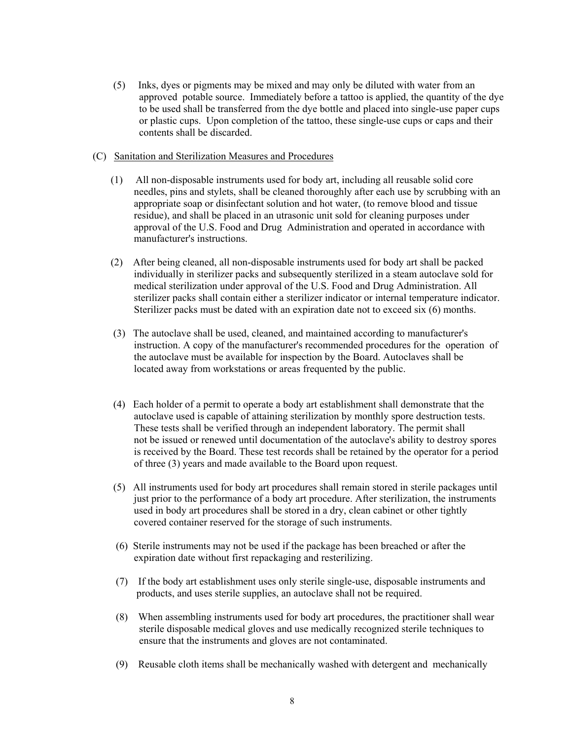- (5) Inks, dyes or pigments may be mixed and may only be diluted with water from an approved potable source. Immediately before a tattoo is applied, the quantity of the dye to be used shall be transferred from the dye bottle and placed into single-use paper cups or plastic cups. Upon completion of the tattoo, these single-use cups or caps and their contents shall be discarded.
- (C) Sanitation and Sterilization Measures and Procedures
	- (1) All non-disposable instruments used for body art, including all reusable solid core needles, pins and stylets, shall be cleaned thoroughly after each use by scrubbing with an appropriate soap or disinfectant solution and hot water, (to remove blood and tissue residue), and shall be placed in an utrasonic unit sold for cleaning purposes under approval of the U.S. Food and Drug Administration and operated in accordance with manufacturer's instructions.
	- (2) After being cleaned, all non-disposable instruments used for body art shall be packed individually in sterilizer packs and subsequently sterilized in a steam autoclave sold for medical sterilization under approval of the U.S. Food and Drug Administration. All sterilizer packs shall contain either a sterilizer indicator or internal temperature indicator. Sterilizer packs must be dated with an expiration date not to exceed six (6) months.
	- (3) The autoclave shall be used, cleaned, and maintained according to manufacturer's instruction. A copy of the manufacturer's recommended procedures for the operation of the autoclave must be available for inspection by the Board. Autoclaves shall be located away from workstations or areas frequented by the public.
	- (4) Each holder of a permit to operate a body art establishment shall demonstrate that the autoclave used is capable of attaining sterilization by monthly spore destruction tests. These tests shall be verified through an independent laboratory. The permit shall not be issued or renewed until documentation of the autoclave's ability to destroy spores is received by the Board. These test records shall be retained by the operator for a period of three (3) years and made available to the Board upon request.
	- (5) All instruments used for body art procedures shall remain stored in sterile packages until just prior to the performance of a body art procedure. After sterilization, the instruments used in body art procedures shall be stored in a dry, clean cabinet or other tightly covered container reserved for the storage of such instruments.
	- (6) Sterile instruments may not be used if the package has been breached or after the expiration date without first repackaging and resterilizing.
	- (7) If the body art establishment uses only sterile single-use, disposable instruments and products, and uses sterile supplies, an autoclave shall not be required.
	- (8) When assembling instruments used for body art procedures, the practitioner shall wear sterile disposable medical gloves and use medically recognized sterile techniques to ensure that the instruments and gloves are not contaminated.
	- (9) Reusable cloth items shall be mechanically washed with detergent and mechanically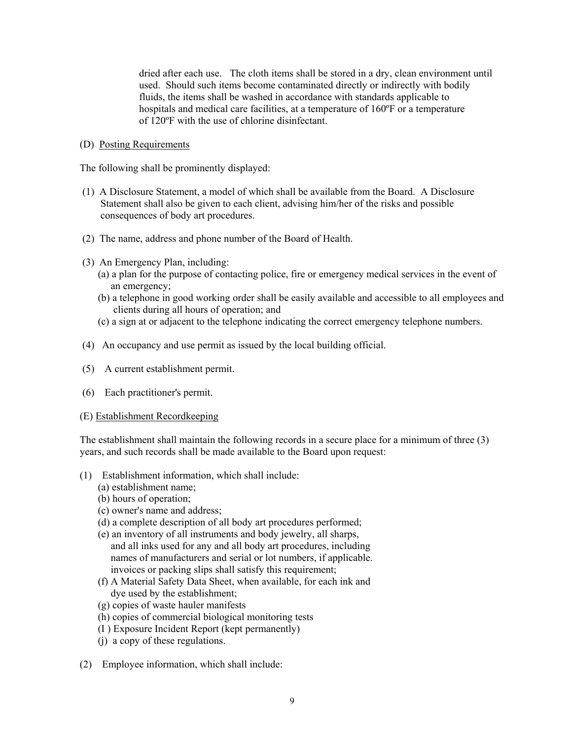dried after each use. The cloth items shall be stored in a dry, clean environment until used. Should such items become contaminated directly or indirectly with bodily fluids, the items shall be washed in accordance with standards applicable to hospitals and medical care facilities, at a temperature of 160ºF or a temperature of 120ºF with the use of chlorine disinfectant.

(D) Posting Requirements

The following shall be prominently displayed:

- (1) A Disclosure Statement, a model of which shall be available from the Board. A Disclosure Statement shall also be given to each client, advising him/her of the risks and possible consequences of body art procedures.
- (2) The name, address and phone number of the Board of Health.
- (3) An Emergency Plan, including:
	- (a) a plan for the purpose of contacting police, fire or emergency medical services in the event of an emergency;
	- (b) a telephone in good working order shall be easily available and accessible to all employees and clients during all hours of operation; and
	- (c) a sign at or adjacent to the telephone indicating the correct emergency telephone numbers.
- (4) An occupancy and use permit as issued by the local building official.
- (5) A current establishment permit.
- (6) Each practitioner's permit.
- (E) Establishment Recordkeeping

The establishment shall maintain the following records in a secure place for a minimum of three (3) years, and such records shall be made available to the Board upon request:

- (1) Establishment information, which shall include:
	- (a) establishment name;
	- (b) hours of operation;
	- (c) owner's name and address;
	- (d) a complete description of all body art procedures performed;
	- (e) an inventory of all instruments and body jewelry, all sharps, and all inks used for any and all body art procedures, including names of manufacturers and serial or lot numbers, if applicable. invoices or packing slips shall satisfy this requirement;
	- (f) A Material Safety Data Sheet, when available, for each ink and dye used by the establishment;
	- (g) copies of waste hauler manifests
	- (h) copies of commercial biological monitoring tests
	- (I ) Exposure Incident Report (kept permanently)
	- (j) a copy of these regulations.
- (2) Employee information, which shall include: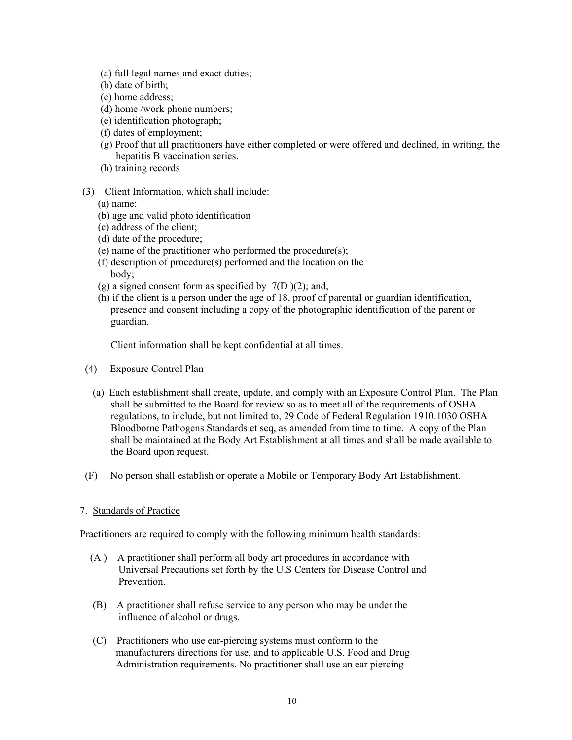- (a) full legal names and exact duties;
- (b) date of birth;
- (c) home address;
- (d) home /work phone numbers;
- (e) identification photograph;
- (f) dates of employment;
- (g) Proof that all practitioners have either completed or were offered and declined, in writing, the hepatitis B vaccination series.
- (h) training records
- (3) Client Information, which shall include:
	- (a) name;
	- (b) age and valid photo identification
	- (c) address of the client;
	- (d) date of the procedure;
	- (e) name of the practitioner who performed the procedure(s);
	- (f) description of procedure(s) performed and the location on the body;
	- (g) a signed consent form as specified by  $7(D)(2)$ ; and,
	- (h) if the client is a person under the age of 18, proof of parental or guardian identification, presence and consent including a copy of the photographic identification of the parent or guardian.

Client information shall be kept confidential at all times.

- (4) Exposure Control Plan
	- (a) Each establishment shall create, update, and comply with an Exposure Control Plan. The Plan shall be submitted to the Board for review so as to meet all of the requirements of OSHA regulations, to include, but not limited to, 29 Code of Federal Regulation 1910.1030 OSHA Bloodborne Pathogens Standards et seq, as amended from time to time. A copy of the Plan shall be maintained at the Body Art Establishment at all times and shall be made available to the Board upon request.
- (F) No person shall establish or operate a Mobile or Temporary Body Art Establishment.

# 7. Standards of Practice

Practitioners are required to comply with the following minimum health standards:

- (A ) A practitioner shall perform all body art procedures in accordance with Universal Precautions set forth by the U.S Centers for Disease Control and Prevention.
- (B) A practitioner shall refuse service to any person who may be under the influence of alcohol or drugs.
- (C) Practitioners who use ear-piercing systems must conform to the manufacturers directions for use, and to applicable U.S. Food and Drug Administration requirements. No practitioner shall use an ear piercing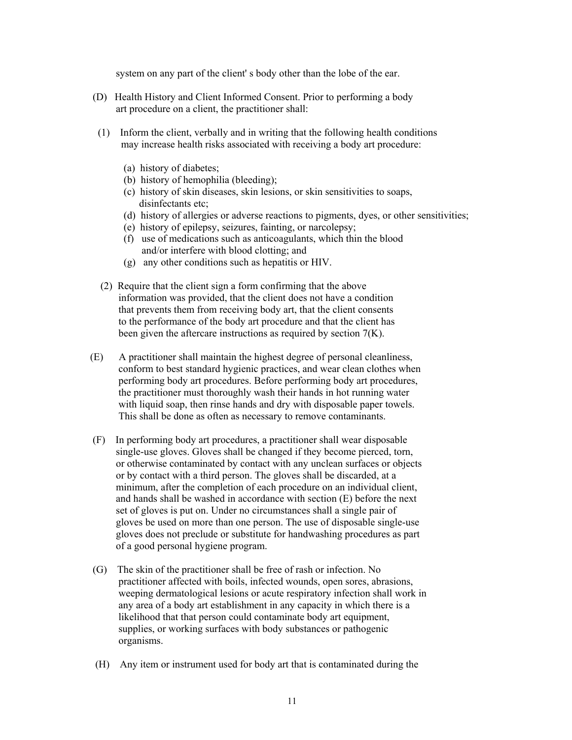system on any part of the client' s body other than the lobe of the ear.

- (D) Health History and Client Informed Consent. Prior to performing a body art procedure on a client, the practitioner shall:
- (1) Inform the client, verbally and in writing that the following health conditions may increase health risks associated with receiving a body art procedure:
	- (a) history of diabetes;
	- (b) history of hemophilia (bleeding);
	- (c) history of skin diseases, skin lesions, or skin sensitivities to soaps, disinfectants etc;
	- (d) history of allergies or adverse reactions to pigments, dyes, or other sensitivities;
	- (e) history of epilepsy, seizures, fainting, or narcolepsy;
	- (f) use of medications such as anticoagulants, which thin the blood and/or interfere with blood clotting; and
	- (g) any other conditions such as hepatitis or HIV.
- (2) Require that the client sign a form confirming that the above information was provided, that the client does not have a condition that prevents them from receiving body art, that the client consents to the performance of the body art procedure and that the client has been given the aftercare instructions as required by section 7(K).
- (E) A practitioner shall maintain the highest degree of personal cleanliness, conform to best standard hygienic practices, and wear clean clothes when performing body art procedures. Before performing body art procedures, the practitioner must thoroughly wash their hands in hot running water with liquid soap, then rinse hands and dry with disposable paper towels. This shall be done as often as necessary to remove contaminants.
- (F) In performing body art procedures, a practitioner shall wear disposable single-use gloves. Gloves shall be changed if they become pierced, torn, or otherwise contaminated by contact with any unclean surfaces or objects or by contact with a third person. The gloves shall be discarded, at a minimum, after the completion of each procedure on an individual client, and hands shall be washed in accordance with section (E) before the next set of gloves is put on. Under no circumstances shall a single pair of gloves be used on more than one person. The use of disposable single-use gloves does not preclude or substitute for handwashing procedures as part of a good personal hygiene program.
- (G) The skin of the practitioner shall be free of rash or infection. No practitioner affected with boils, infected wounds, open sores, abrasions, weeping dermatological lesions or acute respiratory infection shall work in any area of a body art establishment in any capacity in which there is a likelihood that that person could contaminate body art equipment, supplies, or working surfaces with body substances or pathogenic organisms.
- (H) Any item or instrument used for body art that is contaminated during the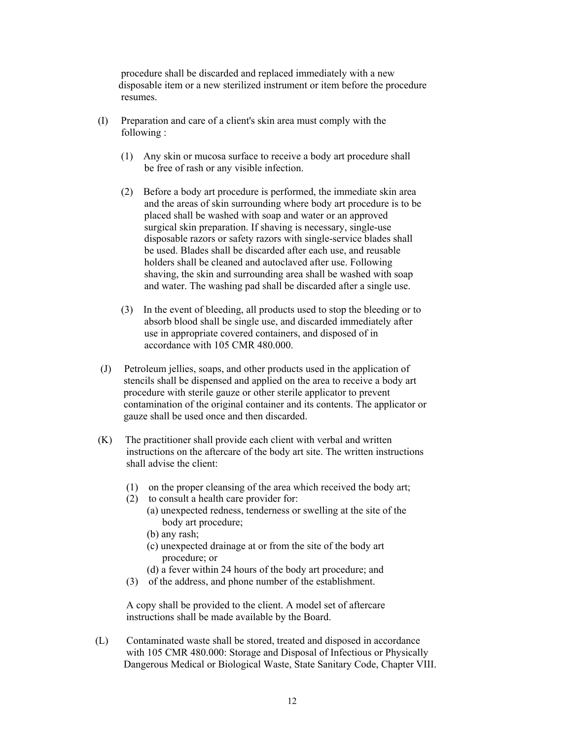procedure shall be discarded and replaced immediately with a new disposable item or a new sterilized instrument or item before the procedure resumes.

- (I) Preparation and care of a client's skin area must comply with the following :
	- (1) Any skin or mucosa surface to receive a body art procedure shall be free of rash or any visible infection.
	- (2) Before a body art procedure is performed, the immediate skin area and the areas of skin surrounding where body art procedure is to be placed shall be washed with soap and water or an approved surgical skin preparation. If shaving is necessary, single-use disposable razors or safety razors with single-service blades shall be used. Blades shall be discarded after each use, and reusable holders shall be cleaned and autoclaved after use. Following shaving, the skin and surrounding area shall be washed with soap and water. The washing pad shall be discarded after a single use.
	- (3) In the event of bleeding, all products used to stop the bleeding or to absorb blood shall be single use, and discarded immediately after use in appropriate covered containers, and disposed of in accordance with 105 CMR 480.000.
- (J) Petroleum jellies, soaps, and other products used in the application of stencils shall be dispensed and applied on the area to receive a body art procedure with sterile gauze or other sterile applicator to prevent contamination of the original container and its contents. The applicator or gauze shall be used once and then discarded.
- (K) The practitioner shall provide each client with verbal and written instructions on the aftercare of the body art site. The written instructions shall advise the client:
	- (1) on the proper cleansing of the area which received the body art;
	- (2) to consult a health care provider for:
		- (a) unexpected redness, tenderness or swelling at the site of the body art procedure;
		- (b) any rash;
		- (c) unexpected drainage at or from the site of the body art procedure; or
		- (d) a fever within 24 hours of the body art procedure; and
	- (3) of the address, and phone number of the establishment.

 A copy shall be provided to the client. A model set of aftercare instructions shall be made available by the Board.

 (L) Contaminated waste shall be stored, treated and disposed in accordance with 105 CMR 480.000: Storage and Disposal of Infectious or Physically Dangerous Medical or Biological Waste, State Sanitary Code, Chapter VIII.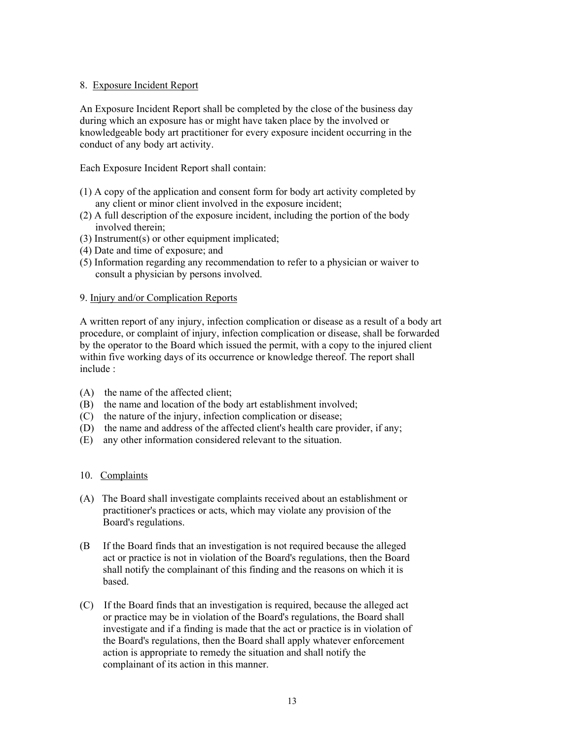# 8. Exposure Incident Report

An Exposure Incident Report shall be completed by the close of the business day during which an exposure has or might have taken place by the involved or knowledgeable body art practitioner for every exposure incident occurring in the conduct of any body art activity.

Each Exposure Incident Report shall contain:

- (1) A copy of the application and consent form for body art activity completed by any client or minor client involved in the exposure incident;
- (2) A full description of the exposure incident, including the portion of the body involved therein;
- (3) Instrument(s) or other equipment implicated;
- (4) Date and time of exposure; and
- (5) Information regarding any recommendation to refer to a physician or waiver to consult a physician by persons involved.

# 9. Injury and/or Complication Reports

A written report of any injury, infection complication or disease as a result of a body art procedure, or complaint of injury, infection complication or disease, shall be forwarded by the operator to the Board which issued the permit, with a copy to the injured client within five working days of its occurrence or knowledge thereof. The report shall include :

- (A) the name of the affected client;
- (B) the name and location of the body art establishment involved;
- (C) the nature of the injury, infection complication or disease;
- (D) the name and address of the affected client's health care provider, if any;
- (E) any other information considered relevant to the situation.

# 10. Complaints

- (A) The Board shall investigate complaints received about an establishment or practitioner's practices or acts, which may violate any provision of the Board's regulations.
- (B If the Board finds that an investigation is not required because the alleged act or practice is not in violation of the Board's regulations, then the Board shall notify the complainant of this finding and the reasons on which it is based.
- (C) If the Board finds that an investigation is required, because the alleged act or practice may be in violation of the Board's regulations, the Board shall investigate and if a finding is made that the act or practice is in violation of the Board's regulations, then the Board shall apply whatever enforcement action is appropriate to remedy the situation and shall notify the complainant of its action in this manner.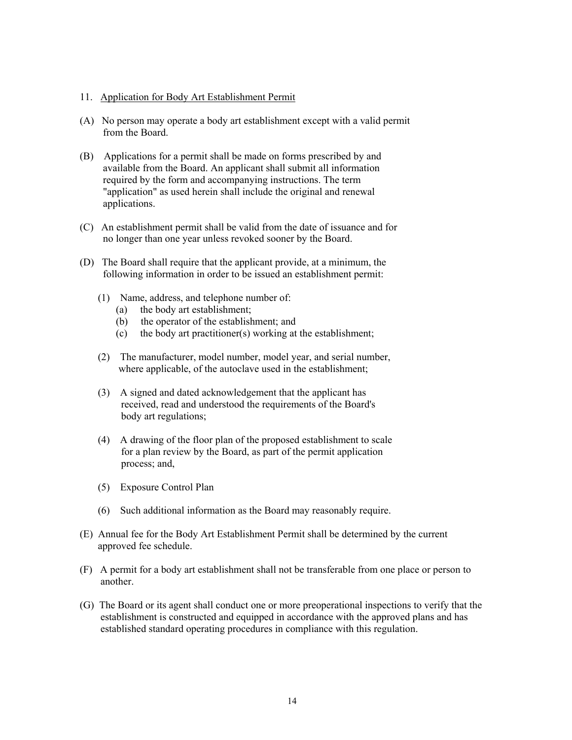#### 11. Application for Body Art Establishment Permit

- (A) No person may operate a body art establishment except with a valid permit from the Board.
- (B) Applications for a permit shall be made on forms prescribed by and available from the Board. An applicant shall submit all information required by the form and accompanying instructions. The term "application" as used herein shall include the original and renewal applications.
- (C) An establishment permit shall be valid from the date of issuance and for no longer than one year unless revoked sooner by the Board.
- (D) The Board shall require that the applicant provide, at a minimum, the following information in order to be issued an establishment permit:
	- (1) Name, address, and telephone number of:
		- (a) the body art establishment;
		- (b) the operator of the establishment; and
		- (c) the body art practitioner(s) working at the establishment;
	- (2) The manufacturer, model number, model year, and serial number, where applicable, of the autoclave used in the establishment;
	- (3) A signed and dated acknowledgement that the applicant has received, read and understood the requirements of the Board's body art regulations;
	- (4) A drawing of the floor plan of the proposed establishment to scale for a plan review by the Board, as part of the permit application process; and,
	- (5) Exposure Control Plan
	- (6) Such additional information as the Board may reasonably require.
- (E) Annual fee for the Body Art Establishment Permit shall be determined by the current approved fee schedule.
- (F) A permit for a body art establishment shall not be transferable from one place or person to another.
- (G) The Board or its agent shall conduct one or more preoperational inspections to verify that the establishment is constructed and equipped in accordance with the approved plans and has established standard operating procedures in compliance with this regulation.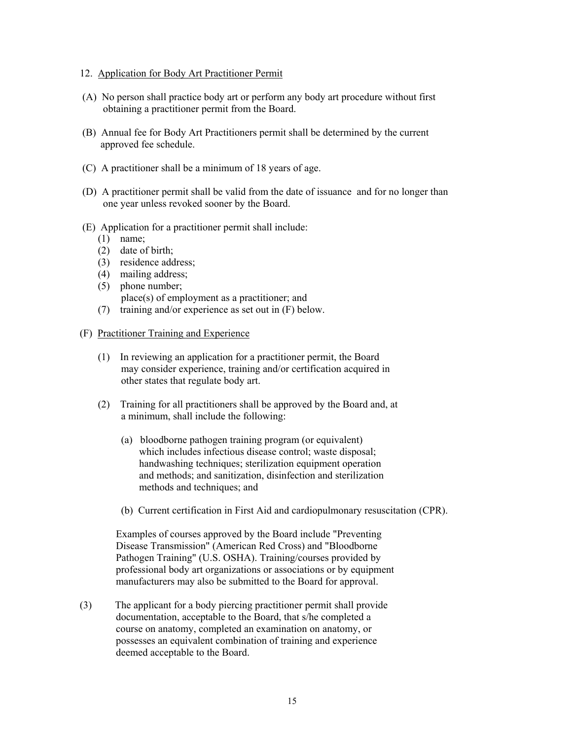- 12. Application for Body Art Practitioner Permit
- (A) No person shall practice body art or perform any body art procedure without first obtaining a practitioner permit from the Board.
- (B) Annual fee for Body Art Practitioners permit shall be determined by the current approved fee schedule.
- (C) A practitioner shall be a minimum of 18 years of age.
- (D) A practitioner permit shall be valid from the date of issuance and for no longer than one year unless revoked sooner by the Board.
- (E) Application for a practitioner permit shall include:
	- (1) name;
	- (2) date of birth;
	- (3) residence address;
	- (4) mailing address; (5) phone number; place(s) of employment as a practitioner; and
	- (7) training and/or experience as set out in (F) below.
- (F) Practitioner Training and Experience
	- (1) In reviewing an application for a practitioner permit, the Board may consider experience, training and/or certification acquired in other states that regulate body art.
	- (2) Training for all practitioners shall be approved by the Board and, at a minimum, shall include the following:
		- (a) bloodborne pathogen training program (or equivalent) which includes infectious disease control; waste disposal; handwashing techniques; sterilization equipment operation and methods; and sanitization, disinfection and sterilization methods and techniques; and
		- (b) Current certification in First Aid and cardiopulmonary resuscitation (CPR).

 Examples of courses approved by the Board include "Preventing Disease Transmission" (American Red Cross) and "Bloodborne Pathogen Training" (U.S. OSHA). Training/courses provided by professional body art organizations or associations or by equipment manufacturers may also be submitted to the Board for approval.

(3) The applicant for a body piercing practitioner permit shall provide documentation, acceptable to the Board, that s/he completed a course on anatomy, completed an examination on anatomy, or possesses an equivalent combination of training and experience deemed acceptable to the Board.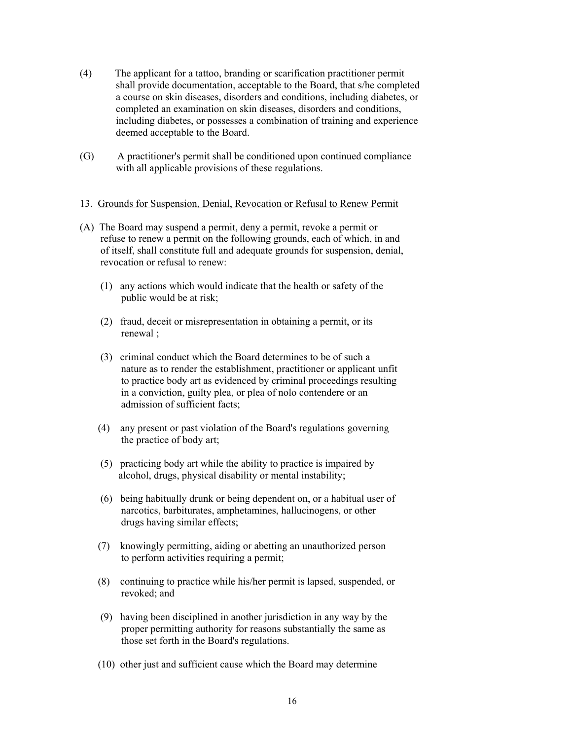- (4) The applicant for a tattoo, branding or scarification practitioner permit shall provide documentation, acceptable to the Board, that s/he completed a course on skin diseases, disorders and conditions, including diabetes, or completed an examination on skin diseases, disorders and conditions, including diabetes, or possesses a combination of training and experience deemed acceptable to the Board.
- (G) A practitioner's permit shall be conditioned upon continued compliance with all applicable provisions of these regulations.
- 13. Grounds for Suspension, Denial, Revocation or Refusal to Renew Permit
- (A) The Board may suspend a permit, deny a permit, revoke a permit or refuse to renew a permit on the following grounds, each of which, in and of itself, shall constitute full and adequate grounds for suspension, denial, revocation or refusal to renew:
	- (1) any actions which would indicate that the health or safety of the public would be at risk;
	- (2) fraud, deceit or misrepresentation in obtaining a permit, or its renewal ;
	- (3) criminal conduct which the Board determines to be of such a nature as to render the establishment, practitioner or applicant unfit to practice body art as evidenced by criminal proceedings resulting in a conviction, guilty plea, or plea of nolo contendere or an admission of sufficient facts;
	- (4) any present or past violation of the Board's regulations governing the practice of body art;
	- (5) practicing body art while the ability to practice is impaired by alcohol, drugs, physical disability or mental instability;
	- (6) being habitually drunk or being dependent on, or a habitual user of narcotics, barbiturates, amphetamines, hallucinogens, or other drugs having similar effects;
	- (7) knowingly permitting, aiding or abetting an unauthorized person to perform activities requiring a permit;
	- (8) continuing to practice while his/her permit is lapsed, suspended, or revoked; and
	- (9) having been disciplined in another jurisdiction in any way by the proper permitting authority for reasons substantially the same as those set forth in the Board's regulations.
	- (10) other just and sufficient cause which the Board may determine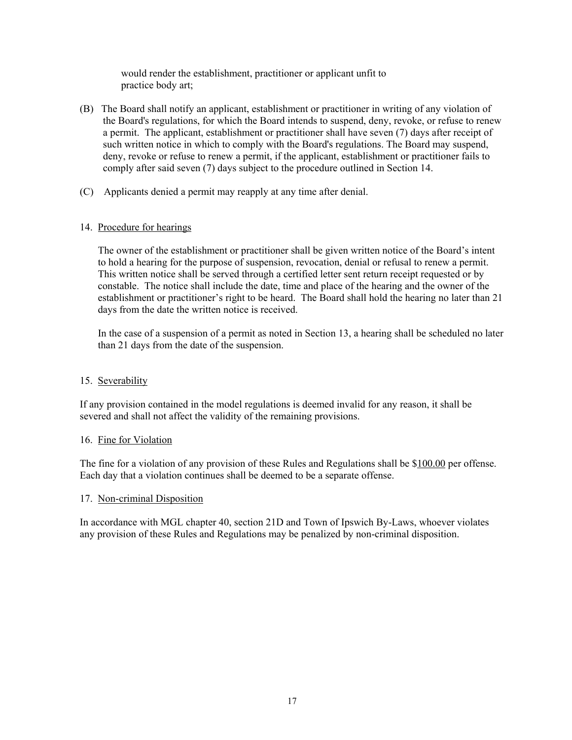would render the establishment, practitioner or applicant unfit to practice body art;

- (B) The Board shall notify an applicant, establishment or practitioner in writing of any violation of the Board's regulations, for which the Board intends to suspend, deny, revoke, or refuse to renew a permit. The applicant, establishment or practitioner shall have seven (7) days after receipt of such written notice in which to comply with the Board's regulations. The Board may suspend, deny, revoke or refuse to renew a permit, if the applicant, establishment or practitioner fails to comply after said seven (7) days subject to the procedure outlined in Section 14.
- (C) Applicants denied a permit may reapply at any time after denial.

# 14. Procedure for hearings

 The owner of the establishment or practitioner shall be given written notice of the Board's intent to hold a hearing for the purpose of suspension, revocation, denial or refusal to renew a permit. This written notice shall be served through a certified letter sent return receipt requested or by constable. The notice shall include the date, time and place of the hearing and the owner of the establishment or practitioner's right to be heard. The Board shall hold the hearing no later than 21 days from the date the written notice is received.

 In the case of a suspension of a permit as noted in Section 13, a hearing shall be scheduled no later than 21 days from the date of the suspension.

# 15. Severability

If any provision contained in the model regulations is deemed invalid for any reason, it shall be severed and shall not affect the validity of the remaining provisions.

# 16. Fine for Violation

The fine for a violation of any provision of these Rules and Regulations shall be \$100.00 per offense. Each day that a violation continues shall be deemed to be a separate offense.

# 17. Non-criminal Disposition

In accordance with MGL chapter 40, section 21D and Town of Ipswich By-Laws, whoever violates any provision of these Rules and Regulations may be penalized by non-criminal disposition.